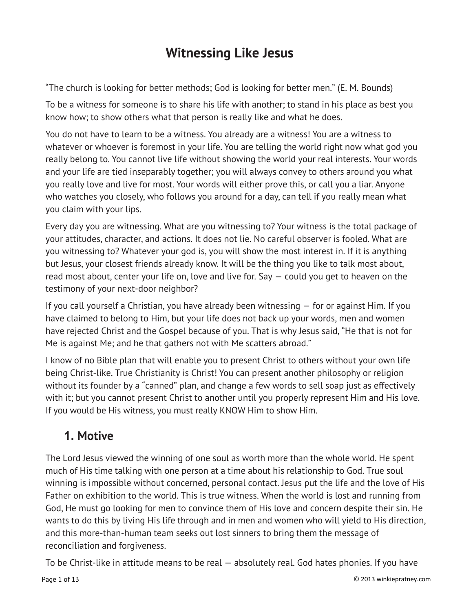# **Witnessing Like Jesus**

"The church is looking for better methods; God is looking for better men." (E. M. Bounds)

To be a witness for someone is to share his life with another; to stand in his place as best you know how; to show others what that person is really like and what he does.

You do not have to learn to be a witness. You already are a witness! You are a witness to whatever or whoever is foremost in your life. You are telling the world right now what god you really belong to. You cannot live life without showing the world your real interests. Your words and your life are tied inseparably together; you will always convey to others around you what you really love and live for most. Your words will either prove this, or call you a liar. Anyone who watches you closely, who follows you around for a day, can tell if you really mean what you claim with your lips.

Every day you are witnessing. What are you witnessing to? Your witness is the total package of your attitudes, character, and actions. It does not lie. No careful observer is fooled. What are you witnessing to? Whatever your god is, you will show the most interest in. If it is anything but Jesus, your closest friends already know. It will be the thing you like to talk most about, read most about, center your life on, love and live for. Say — could you get to heaven on the testimony of your next-door neighbor?

If you call yourself a Christian, you have already been witnessing — for or against Him. If you have claimed to belong to Him, but your life does not back up your words, men and women have rejected Christ and the Gospel because of you. That is why Jesus said, "He that is not for Me is against Me; and he that gathers not with Me scatters abroad."

I know of no Bible plan that will enable you to present Christ to others without your own life being Christ-like. True Christianity is Christ! You can present another philosophy or religion without its founder by a "canned" plan, and change a few words to sell soap just as effectively with it; but you cannot present Christ to another until you properly represent Him and His love. If you would be His witness, you must really KNOW Him to show Him.

## **1. Motive**

The Lord Jesus viewed the winning of one soul as worth more than the whole world. He spent much of His time talking with one person at a time about his relationship to God. True soul winning is impossible without concerned, personal contact. Jesus put the life and the love of His Father on exhibition to the world. This is true witness. When the world is lost and running from God, He must go looking for men to convince them of His love and concern despite their sin. He wants to do this by living His life through and in men and women who will yield to His direction, and this more-than-human team seeks out lost sinners to bring them the message of reconciliation and forgiveness.

To be Christ-like in attitude means to be real — absolutely real. God hates phonies. If you have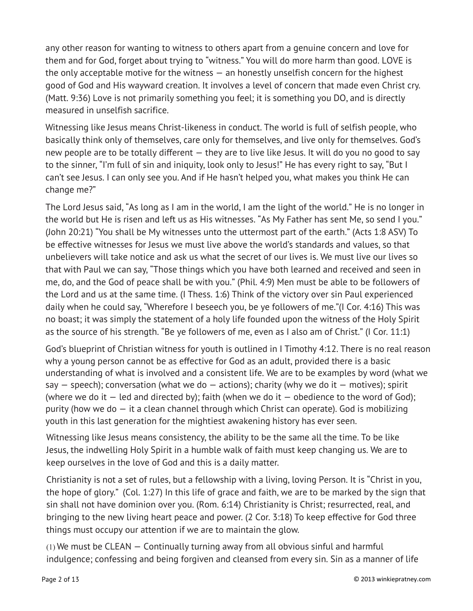any other reason for wanting to witness to others apart from a genuine concern and love for them and for God, forget about trying to "witness." You will do more harm than good. LOVE is the only acceptable motive for the witness — an honestly unselfish concern for the highest good of God and His wayward creation. It involves a level of concern that made even Christ cry. (Matt. 9:36) Love is not primarily something you feel; it is something you DO, and is directly measured in unselfish sacrifice.

Witnessing like Jesus means Christ-likeness in conduct. The world is full of selfish people, who basically think only of themselves, care only for themselves, and live only for themselves. God's new people are to be totally different — they are to live like Jesus. It will do you no good to say to the sinner, "I'm full of sin and iniquity, look only to Jesus!" He has every right to say, "But I can't see Jesus. I can only see you. And if He hasn't helped you, what makes you think He can change me?"

The Lord Jesus said, "As long as I am in the world, I am the light of the world." He is no longer in the world but He is risen and left us as His witnesses. "As My Father has sent Me, so send I you." (John 20:21) "You shall be My witnesses unto the uttermost part of the earth." (Acts 1:8 ASV) To be effective witnesses for Jesus we must live above the world's standards and values, so that unbelievers will take notice and ask us what the secret of our lives is. We must live our lives so that with Paul we can say, "Those things which you have both learned and received and seen in me, do, and the God of peace shall be with you." (Phil. 4:9) Men must be able to be followers of the Lord and us at the same time. (I Thess. 1:6) Think of the victory over sin Paul experienced daily when he could say, "Wherefore I beseech you, be ye followers of me."(I Cor. 4:16) This was no boast; it was simply the statement of a holy life founded upon the witness of the Holy Spirit as the source of his strength. "Be ye followers of me, even as I also am of Christ." (I Cor. 11:1)

God's blueprint of Christian witness for youth is outlined in I Timothy 4:12. There is no real reason why a young person cannot be as effective for God as an adult, provided there is a basic understanding of what is involved and a consistent life. We are to be examples by word (what we say  $-$  speech); conversation (what we do  $-$  actions); charity (why we do it  $-$  motives); spirit (where we do it  $-$  led and directed by); faith (when we do it  $-$  obedience to the word of God); purity (how we do — it a clean channel through which Christ can operate). God is mobilizing youth in this last generation for the mightiest awakening history has ever seen.

Witnessing like Jesus means consistency, the ability to be the same all the time. To be like Jesus, the indwelling Holy Spirit in a humble walk of faith must keep changing us. We are to keep ourselves in the love of God and this is a daily matter.

Christianity is not a set of rules, but a fellowship with a living, loving Person. It is "Christ in you, the hope of glory." (Col. 1:27) In this life of grace and faith, we are to be marked by the sign that sin shall not have dominion over you. (Rom. 6:14) Christianity is Christ; resurrected, real, and bringing to the new living heart peace and power. (2 Cor. 3:18) To keep effective for God three things must occupy our attention if we are to maintain the glow.

(1) We must be CLEAN — Continually turning away from all obvious sinful and harmful indulgence; confessing and being forgiven and cleansed from every sin. Sin as a manner of life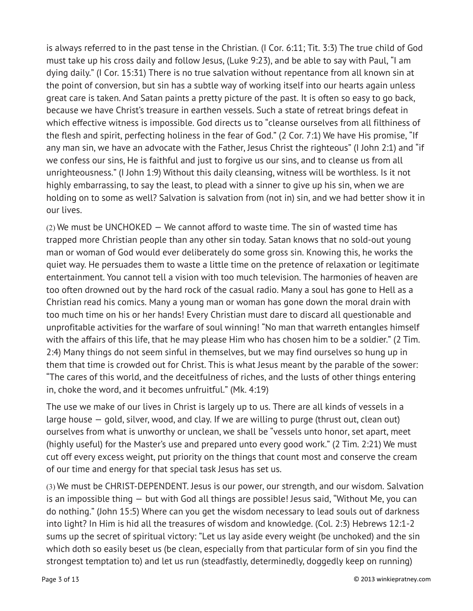is always referred to in the past tense in the Christian. (I Cor. 6:11; Tit. 3:3) The true child of God must take up his cross daily and follow Jesus, (Luke 9:23), and be able to say with Paul, "I am dying daily." (I Cor. 15:31) There is no true salvation without repentance from all known sin at the point of conversion, but sin has a subtle way of working itself into our hearts again unless great care is taken. And Satan paints a pretty picture of the past. It is often so easy to go back, because we have Christ's treasure in earthen vessels. Such a state of retreat brings defeat in which effective witness is impossible. God directs us to "cleanse ourselves from all filthiness of the flesh and spirit, perfecting holiness in the fear of God." (2 Cor. 7:1) We have His promise, "If any man sin, we have an advocate with the Father, Jesus Christ the righteous" (I John 2:1) and "if we confess our sins, He is faithful and just to forgive us our sins, and to cleanse us from all unrighteousness." (I John 1:9) Without this daily cleansing, witness will be worthless. Is it not highly embarrassing, to say the least, to plead with a sinner to give up his sin, when we are holding on to some as well? Salvation is salvation from (not in) sin, and we had better show it in our lives.

 $(2)$  We must be UNCHOKED  $-$  We cannot afford to waste time. The sin of wasted time has trapped more Christian people than any other sin today. Satan knows that no sold-out young man or woman of God would ever deliberately do some gross sin. Knowing this, he works the quiet way. He persuades them to waste a little time on the pretence of relaxation or legitimate entertainment. You cannot tell a vision with too much television. The harmonies of heaven are too often drowned out by the hard rock of the casual radio. Many a soul has gone to Hell as a Christian read his comics. Many a young man or woman has gone down the moral drain with too much time on his or her hands! Every Christian must dare to discard all questionable and unprofitable activities for the warfare of soul winning! "No man that warreth entangles himself with the affairs of this life, that he may please Him who has chosen him to be a soldier." (2 Tim. 2:4) Many things do not seem sinful in themselves, but we may find ourselves so hung up in them that time is crowded out for Christ. This is what Jesus meant by the parable of the sower: "The cares of this world, and the deceitfulness of riches, and the lusts of other things entering in, choke the word, and it becomes unfruitful." (Mk. 4:19)

The use we make of our lives in Christ is largely up to us. There are all kinds of vessels in a large house — gold, silver, wood, and clay. If we are willing to purge (thrust out, clean out) ourselves from what is unworthy or unclean, we shall be "vessels unto honor, set apart, meet (highly useful) for the Master's use and prepared unto every good work." (2 Tim. 2:21) We must cut off every excess weight, put priority on the things that count most and conserve the cream of our time and energy for that special task Jesus has set us.

(3) We must be CHRIST-DEPENDENT. Jesus is our power, our strength, and our wisdom. Salvation is an impossible thing — but with God all things are possible! Jesus said, "Without Me, you can do nothing." (John 15:5) Where can you get the wisdom necessary to lead souls out of darkness into light? In Him is hid all the treasures of wisdom and knowledge. (Col. 2:3) Hebrews 12:1-2 sums up the secret of spiritual victory: "Let us lay aside every weight (be unchoked) and the sin which doth so easily beset us (be clean, especially from that particular form of sin you find the strongest temptation to) and let us run (steadfastly, determinedly, doggedly keep on running)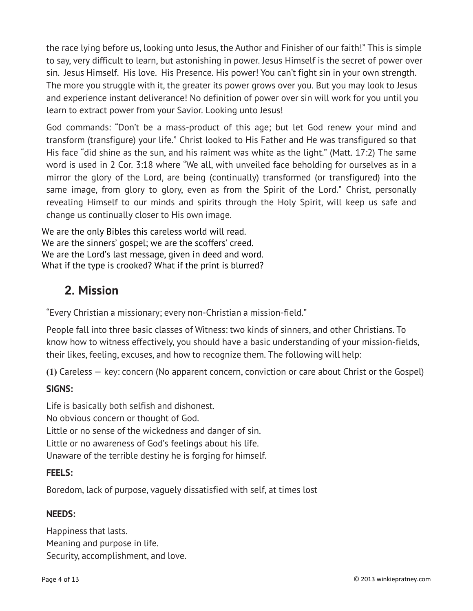the race lying before us, looking unto Jesus, the Author and Finisher of our faith!" This is simple to say, very difficult to learn, but astonishing in power. Jesus Himself is the secret of power over sin. Jesus Himself. His love. His Presence. His power! You can't fight sin in your own strength. The more you struggle with it, the greater its power grows over you. But you may look to Jesus and experience instant deliverance! No definition of power over sin will work for you until you learn to extract power from your Savior. Looking unto Jesus!

God commands: "Don't be a mass-product of this age; but let God renew your mind and transform (transfigure) your life." Christ looked to His Father and He was transfigured so that His face "did shine as the sun, and his raiment was white as the light." (Matt. 17:2) The same word is used in 2 Cor. 3:18 where "We all, with unveiled face beholding for ourselves as in a mirror the glory of the Lord, are being (continually) transformed (or transfigured) into the same image, from glory to glory, even as from the Spirit of the Lord." Christ, personally revealing Himself to our minds and spirits through the Holy Spirit, will keep us safe and change us continually closer to His own image.

We are the only Bibles this careless world will read. We are the sinners' gospel; we are the scoffers' creed. We are the Lord's last message, given in deed and word. What if the type is crooked? What if the print is blurred?

## **2. Mission**

"Every Christian a missionary; every non-Christian a mission-field."

People fall into three basic classes of Witness: two kinds of sinners, and other Christians. To know how to witness effectively, you should have a basic understanding of your mission-fields, their likes, feeling, excuses, and how to recognize them. The following will help:

**(1)** Careless — key: concern (No apparent concern, conviction or care about Christ or the Gospel)

## **SIGNS:**

Life is basically both selfish and dishonest. No obvious concern or thought of God. Little or no sense of the wickedness and danger of sin. Little or no awareness of God's feelings about his life. Unaware of the terrible destiny he is forging for himself.

### **FEELS:**

Boredom, lack of purpose, vaguely dissatisfied with self, at times lost

## **NEEDS:**

Happiness that lasts. Meaning and purpose in life. Security, accomplishment, and love.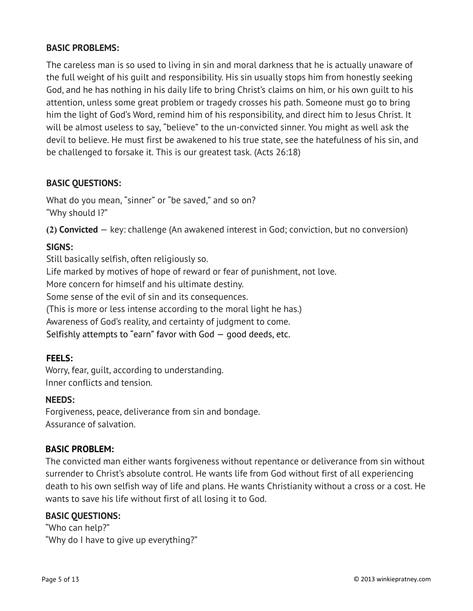### **BASIC PROBLEMS:**

The careless man is so used to living in sin and moral darkness that he is actually unaware of the full weight of his guilt and responsibility. His sin usually stops him from honestly seeking God, and he has nothing in his daily life to bring Christ's claims on him, or his own guilt to his attention, unless some great problem or tragedy crosses his path. Someone must go to bring him the light of God's Word, remind him of his responsibility, and direct him to Jesus Christ. It will be almost useless to say, "believe" to the un-convicted sinner. You might as well ask the devil to believe. He must first be awakened to his true state, see the hatefulness of his sin, and be challenged to forsake it. This is our greatest task. (Acts 26:18)

### **BASIC QUESTIONS:**

What do you mean, "sinner" or "be saved," and so on? "Why should I?"

**(2) Convicted** — key: challenge (An awakened interest in God; conviction, but no conversion)

### **SIGNS:**

Still basically selfish, often religiously so. Life marked by motives of hope of reward or fear of punishment, not love. More concern for himself and his ultimate destiny. Some sense of the evil of sin and its consequences. (This is more or less intense according to the moral light he has.) Awareness of God's reality, and certainty of judgment to come. Selfishly attempts to "earn" favor with God — good deeds, etc.

### **FEELS:**

Worry, fear, guilt, according to understanding. Inner conflicts and tension.

### **NEEDS:**

Forgiveness, peace, deliverance from sin and bondage. Assurance of salvation.

### **BASIC PROBLEM:**

The convicted man either wants forgiveness without repentance or deliverance from sin without surrender to Christ's absolute control. He wants life from God without first of all experiencing death to his own selfish way of life and plans. He wants Christianity without a cross or a cost. He wants to save his life without first of all losing it to God.

### **BASIC QUESTIONS:**

"Who can help?" "Why do I have to give up everything?"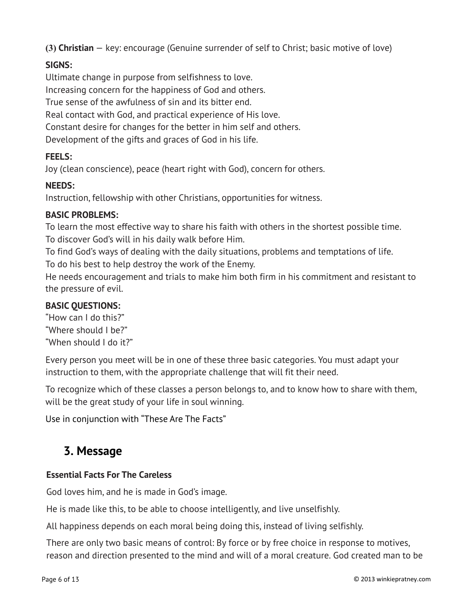**(3) Christian** — key: encourage (Genuine surrender of self to Christ; basic motive of love)

## **SIGNS:**

Ultimate change in purpose from selfishness to love.

Increasing concern for the happiness of God and others.

True sense of the awfulness of sin and its bitter end.

Real contact with God, and practical experience of His love.

Constant desire for changes for the better in him self and others.

Development of the gifts and graces of God in his life.

## **FEELS:**

Joy (clean conscience), peace (heart right with God), concern for others.

## **NEEDS:**

Instruction, fellowship with other Christians, opportunities for witness.

## **BASIC PROBLEMS:**

To learn the most effective way to share his faith with others in the shortest possible time. To discover God's will in his daily walk before Him.

To find God's ways of dealing with the daily situations, problems and temptations of life. To do his best to help destroy the work of the Enemy.

He needs encouragement and trials to make him both firm in his commitment and resistant to the pressure of evil.

## **BASIC QUESTIONS:**

"How can I do this?" "Where should I be?" "When should I do it?"

Every person you meet will be in one of these three basic categories. You must adapt your instruction to them, with the appropriate challenge that will fit their need.

To recognize which of these classes a person belongs to, and to know how to share with them, will be the great study of your life in soul winning.

Use in conjunction with "These Are The Facts"

## **3. Message**

## **Essential Facts For The Careless**

God loves him, and he is made in God's image.

He is made like this, to be able to choose intelligently, and live unselfishly.

All happiness depends on each moral being doing this, instead of living selfishly.

There are only two basic means of control: By force or by free choice in response to motives, reason and direction presented to the mind and will of a moral creature. God created man to be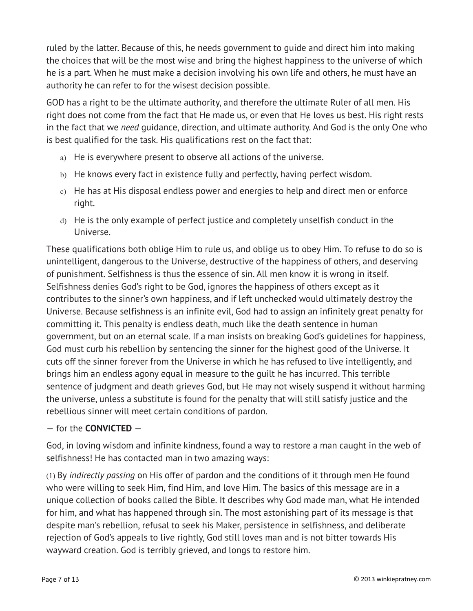ruled by the latter. Because of this, he needs government to guide and direct him into making the choices that will be the most wise and bring the highest happiness to the universe of which he is a part. When he must make a decision involving his own life and others, he must have an authority he can refer to for the wisest decision possible.

GOD has a right to be the ultimate authority, and therefore the ultimate Ruler of all men. His right does not come from the fact that He made us, or even that He loves us best. His right rests in the fact that we *need* guidance, direction, and ultimate authority. And God is the only One who is best qualified for the task. His qualifications rest on the fact that:

- a) He is everywhere present to observe all actions of the universe.
- b) He knows every fact in existence fully and perfectly, having perfect wisdom.
- c) He has at His disposal endless power and energies to help and direct men or enforce right.
- d) He is the only example of perfect justice and completely unselfish conduct in the Universe.

These qualifications both oblige Him to rule us, and oblige us to obey Him. To refuse to do so is unintelligent, dangerous to the Universe, destructive of the happiness of others, and deserving of punishment. Selfishness is thus the essence of sin. All men know it is wrong in itself. Selfishness denies God's right to be God, ignores the happiness of others except as it contributes to the sinner's own happiness, and if left unchecked would ultimately destroy the Universe. Because selfishness is an infinite evil, God had to assign an infinitely great penalty for committing it. This penalty is endless death, much like the death sentence in human government, but on an eternal scale. If a man insists on breaking God's guidelines for happiness, God must curb his rebellion by sentencing the sinner for the highest good of the Universe. It cuts off the sinner forever from the Universe in which he has refused to live intelligently, and brings him an endless agony equal in measure to the guilt he has incurred. This terrible sentence of judgment and death grieves God, but He may not wisely suspend it without harming the universe, unless a substitute is found for the penalty that will still satisfy justice and the rebellious sinner will meet certain conditions of pardon.

### — for the **CONVICTED** —

God, in loving wisdom and infinite kindness, found a way to restore a man caught in the web of selfishness! He has contacted man in two amazing ways:

(1) By *indirectly passing* on His offer of pardon and the conditions of it through men He found who were willing to seek Him, find Him, and love Him. The basics of this message are in a unique collection of books called the Bible. It describes why God made man, what He intended for him, and what has happened through sin. The most astonishing part of its message is that despite man's rebellion, refusal to seek his Maker, persistence in selfishness, and deliberate rejection of God's appeals to live rightly, God still loves man and is not bitter towards His wayward creation. God is terribly grieved, and longs to restore him.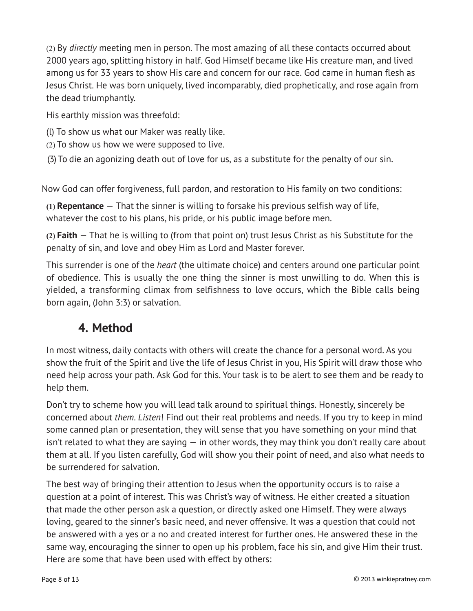(2) By *directly* meeting men in person. The most amazing of all these contacts occurred about 2000 years ago, splitting history in half. God Himself became like His creature man, and lived among us for 33 years to show His care and concern for our race. God came in human flesh as Jesus Christ. He was born uniquely, lived incomparably, died prophetically, and rose again from the dead triumphantly.

His earthly mission was threefold:

- (l) To show us what our Maker was really like.
- (2) To show us how we were supposed to live.

(3) To die an agonizing death out of love for us, as a substitute for the penalty of our sin.

Now God can offer forgiveness, full pardon, and restoration to His family on two conditions:

**(1) Repentance** — That the sinner is willing to forsake his previous selfish way of life, whatever the cost to his plans, his pride, or his public image before men.

**(2) Faith** — That he is willing to (from that point on) trust Jesus Christ as his Substitute for the penalty of sin, and love and obey Him as Lord and Master forever.

This surrender is one of the *heart* (the ultimate choice) and centers around one particular point of obedience. This is usually the one thing the sinner is most unwilling to do. When this is yielded, a transforming climax from selfishness to love occurs, which the Bible calls being born again, (John 3:3) or salvation.

## **4. Method**

In most witness, daily contacts with others will create the chance for a personal word. As you show the fruit of the Spirit and live the life of Jesus Christ in you, His Spirit will draw those who need help across your path. Ask God for this. Your task is to be alert to see them and be ready to help them.

Don't try to scheme how you will lead talk around to spiritual things. Honestly, sincerely be concerned about *them*. *Listen*! Find out their real problems and needs. If you try to keep in mind some canned plan or presentation, they will sense that you have something on your mind that isn't related to what they are saying  $-$  in other words, they may think you don't really care about them at all. If you listen carefully, God will show you their point of need, and also what needs to be surrendered for salvation.

The best way of bringing their attention to Jesus when the opportunity occurs is to raise a question at a point of interest. This was Christ's way of witness. He either created a situation that made the other person ask a question, or directly asked one Himself. They were always loving, geared to the sinner's basic need, and never offensive. It was a question that could not be answered with a yes or a no and created interest for further ones. He answered these in the same way, encouraging the sinner to open up his problem, face his sin, and give Him their trust. Here are some that have been used with effect by others: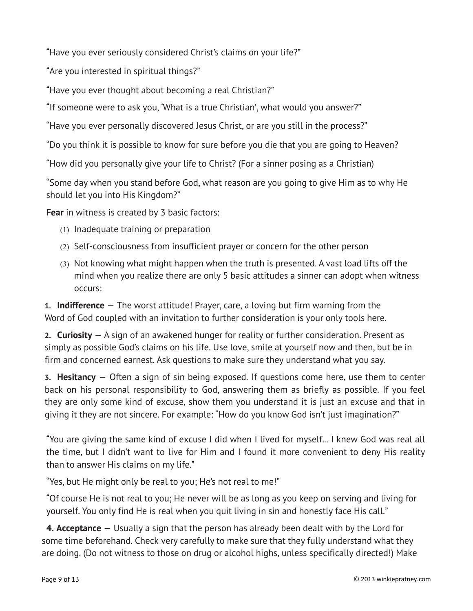"Have you ever seriously considered Christ's claims on your life?"

"Are you interested in spiritual things?"

"Have you ever thought about becoming a real Christian?"

"If someone were to ask you, 'What is a true Christian', what would you answer?"

"Have you ever personally discovered Jesus Christ, or are you still in the process?"

"Do you think it is possible to know for sure before you die that you are going to Heaven?

"How did you personally give your life to Christ? (For a sinner posing as a Christian)

"Some day when you stand before God, what reason are you going to give Him as to why He should let you into His Kingdom?"

**Fear** in witness is created by 3 basic factors:

- (1) Inadequate training or preparation
- (2) Self-consciousness from insufficient prayer or concern for the other person
- (3) Not knowing what might happen when the truth is presented. A vast load lifts off the mind when you realize there are only 5 basic attitudes a sinner can adopt when witness occurs:

**1. Indifference** — The worst attitude! Prayer, care, a loving but firm warning from the Word of God coupled with an invitation to further consideration is your only tools here.

**2. Curiosity** — A sign of an awakened hunger for reality or further consideration. Present as simply as possible God's claims on his life. Use love, smile at yourself now and then, but be in firm and concerned earnest. Ask questions to make sure they understand what you say.

**3. Hesitancy** — Often a sign of sin being exposed. If questions come here, use them to center back on his personal responsibility to God, answering them as briefly as possible. If you feel they are only some kind of excuse, show them you understand it is just an excuse and that in giving it they are not sincere. For example: "How do you know God isn't just imagination?"

"You are giving the same kind of excuse I did when I lived for myself... I knew God was real all the time, but I didn't want to live for Him and I found it more convenient to deny His reality than to answer His claims on my life."

"Yes, but He might only be real to you; He's not real to me!"

"Of course He is not real to you; He never will be as long as you keep on serving and living for yourself. You only find He is real when you quit living in sin and honestly face His call."

 **4. Acceptance** — Usually a sign that the person has already been dealt with by the Lord for some time beforehand. Check very carefully to make sure that they fully understand what they are doing. (Do not witness to those on drug or alcohol highs, unless specifically directed!) Make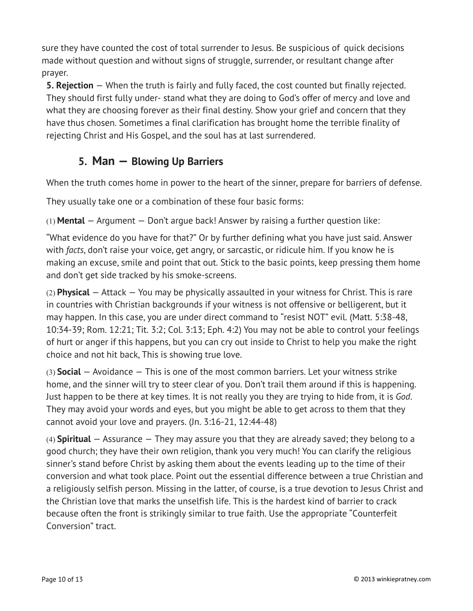sure they have counted the cost of total surrender to Jesus. Be suspicious of quick decisions made without question and without signs of struggle, surrender, or resultant change after prayer.

**5. Rejection** — When the truth is fairly and fully faced, the cost counted but finally rejected. They should first fully under- stand what they are doing to God's offer of mercy and love and what they are choosing forever as their final destiny. Show your grief and concern that they have thus chosen. Sometimes a final clarification has brought home the terrible finality of rejecting Christ and His Gospel, and the soul has at last surrendered.

## **5. Man — Blowing Up Barriers**

When the truth comes home in power to the heart of the sinner, prepare for barriers of defense.

They usually take one or a combination of these four basic forms:

(1) **Mental** — Argument — Don't argue back! Answer by raising a further question like:

"What evidence do you have for that?" Or by further defining what you have just said. Answer with *facts*, don't raise your voice, get angry, or sarcastic, or ridicule him. If you know he is making an excuse, smile and point that out. Stick to the basic points, keep pressing them home and don't get side tracked by his smoke-screens.

(2) **Physical** — Attack — You may be physically assaulted in your witness for Christ. This is rare in countries with Christian backgrounds if your witness is not offensive or belligerent, but it may happen. In this case, you are under direct command to "resist NOT" evil. (Matt. 5:38-48, 10:34-39; Rom. 12:21; Tit. 3:2; Col. 3:13; Eph. 4:2) You may not be able to control your feelings of hurt or anger if this happens, but you can cry out inside to Christ to help you make the right choice and not hit back, This is showing true love.

(3) **Social** — Avoidance — This is one of the most common barriers. Let your witness strike home, and the sinner will try to steer clear of you. Don't trail them around if this is happening. Just happen to be there at key times. It is not really you they are trying to hide from, it is *God*. They may avoid your words and eyes, but you might be able to get across to them that they cannot avoid your love and prayers. (Jn. 3:16-21, 12:44-48)

(4) **Spiritual** — Assurance — They may assure you that they are already saved; they belong to a good church; they have their own religion, thank you very much! You can clarify the religious sinner's stand before Christ by asking them about the events leading up to the time of their conversion and what took place. Point out the essential difference between a true Christian and a religiously selfish person. Missing in the latter, of course, is a true devotion to Jesus Christ and the Christian love that marks the unselfish life. This is the hardest kind of barrier to crack because often the front is strikingly similar to true faith. Use the appropriate "Counterfeit Conversion" tract.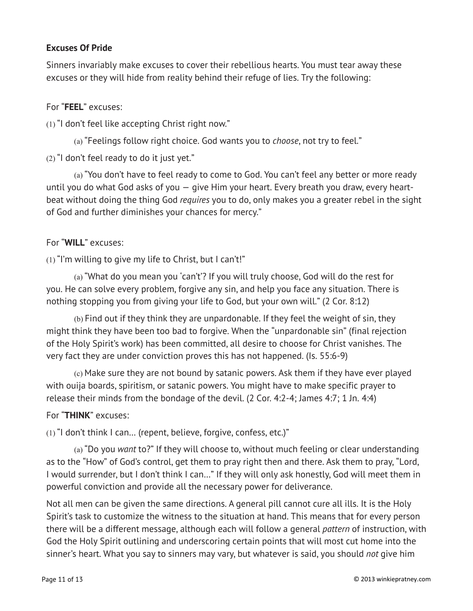#### **Excuses Of Pride**

Sinners invariably make excuses to cover their rebellious hearts. You must tear away these excuses or they will hide from reality behind their refuge of lies. Try the following:

#### For "**FEEL**" excuses:

(1) "I don't feel like accepting Christ right now."

(a) "Feelings follow right choice. God wants you to *choose*, not try to feel."

(2) "I don't feel ready to do it just yet."

(a) "You don't have to feel ready to come to God. You can't feel any better or more ready until you do what God asks of you — give Him your heart. Every breath you draw, every heartbeat without doing the thing God *requires* you to do, only makes you a greater rebel in the sight of God and further diminishes your chances for mercy."

#### For "**WILL**" excuses:

(1) "I'm willing to give my life to Christ, but I can't!"

(a) "What do you mean you 'can't'? If you will truly choose, God will do the rest for you. He can solve every problem, forgive any sin, and help you face any situation. There is nothing stopping you from giving your life to God, but your own will." (2 Cor. 8:12)

(b) Find out if they think they are unpardonable. If they feel the weight of sin, they might think they have been too bad to forgive. When the "unpardonable sin" (final rejection of the Holy Spirit's work) has been committed, all desire to choose for Christ vanishes. The very fact they are under conviction proves this has not happened. (Is. 55:6-9)

(c) Make sure they are not bound by satanic powers. Ask them if they have ever played with ouija boards, spiritism, or satanic powers. You might have to make specific prayer to release their minds from the bondage of the devil. (2 Cor. 4:2-4; James 4:7; 1 Jn. 4:4)

#### For "**THINK**" excuses:

(1) "I don't think I can… (repent, believe, forgive, confess, etc.)"

(a) "Do you *want* to?" If they will choose to, without much feeling or clear understanding as to the "How" of God's control, get them to pray right then and there. Ask them to pray, "Lord, I would surrender, but I don't think I can…" If they will only ask honestly, God will meet them in powerful conviction and provide all the necessary power for deliverance.

Not all men can be given the same directions. A general pill cannot cure all ills. It is the Holy Spirit's task to customize the witness to the situation at hand. This means that for every person there will be a different message, although each will follow a general *pattern* of instruction, with God the Holy Spirit outlining and underscoring certain points that will most cut home into the sinner's heart. What you say to sinners may vary, but whatever is said, you should *not* give him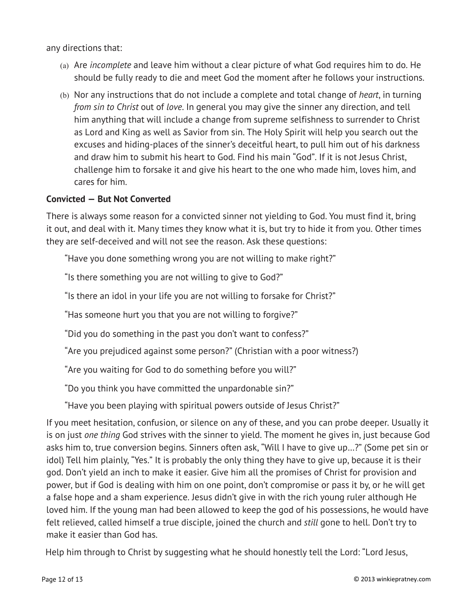any directions that:

- (a) Are *incomplete* and leave him without a clear picture of what God requires him to do. He should be fully ready to die and meet God the moment after he follows your instructions.
- (b) Nor any instructions that do not include a complete and total change of *heart*, in turning *from sin to Christ* out of *love*. In general you may give the sinner any direction, and tell him anything that will include a change from supreme selfishness to surrender to Christ as Lord and King as well as Savior from sin. The Holy Spirit will help you search out the excuses and hiding-places of the sinner's deceitful heart, to pull him out of his darkness and draw him to submit his heart to God. Find his main "God". If it is not Jesus Christ, challenge him to forsake it and give his heart to the one who made him, loves him, and cares for him.

#### **Convicted — But Not Converted**

There is always some reason for a convicted sinner not yielding to God. You must find it, bring it out, and deal with it. Many times they know what it is, but try to hide it from you. Other times they are self-deceived and will not see the reason. Ask these questions:

"Have you done something wrong you are not willing to make right?"

"Is there something you are not willing to give to God?"

"Is there an idol in your life you are not willing to forsake for Christ?"

"Has someone hurt you that you are not willing to forgive?"

"Did you do something in the past you don't want to confess?"

"Are you prejudiced against some person?" (Christian with a poor witness?)

"Are you waiting for God to do something before you will?"

"Do you think you have committed the unpardonable sin?"

"Have you been playing with spiritual powers outside of Jesus Christ?"

If you meet hesitation, confusion, or silence on any of these, and you can probe deeper. Usually it is on just *one thing* God strives with the sinner to yield. The moment he gives in, just because God asks him to, true conversion begins. Sinners often ask, "Will I have to give up…?" (Some pet sin or idol) Tell him plainly, "Yes." It is probably the only thing they have to give up, because it is their god. Don't yield an inch to make it easier. Give him all the promises of Christ for provision and power, but if God is dealing with him on one point, don't compromise or pass it by, or he will get a false hope and a sham experience. Jesus didn't give in with the rich young ruler although He loved him. If the young man had been allowed to keep the god of his possessions, he would have felt relieved, called himself a true disciple, joined the church and *still* gone to hell. Don't try to make it easier than God has.

Help him through to Christ by suggesting what he should honestly tell the Lord: "Lord Jesus,